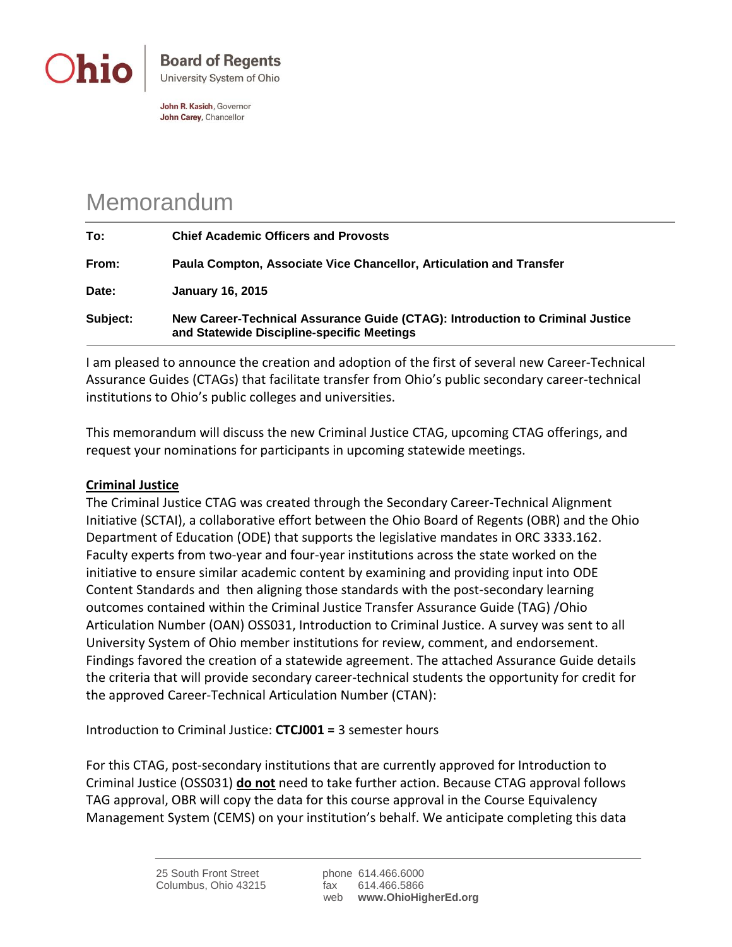

John R. Kasich, Governor John Carey, Chancellor

## Memorandum

| To:      | <b>Chief Academic Officers and Provosts</b>                                                                                 |
|----------|-----------------------------------------------------------------------------------------------------------------------------|
| From:    | Paula Compton, Associate Vice Chancellor, Articulation and Transfer                                                         |
| Date:    | <b>January 16, 2015</b>                                                                                                     |
| Subject: | New Career-Technical Assurance Guide (CTAG): Introduction to Criminal Justice<br>and Statewide Discipline-specific Meetings |

I am pleased to announce the creation and adoption of the first of several new Career-Technical Assurance Guides (CTAGs) that facilitate transfer from Ohio's public secondary career-technical institutions to Ohio's public colleges and universities.

This memorandum will discuss the new Criminal Justice CTAG, upcoming CTAG offerings, and request your nominations for participants in upcoming statewide meetings.

## **Criminal Justice**

The Criminal Justice CTAG was created through the Secondary Career-Technical Alignment Initiative (SCTAI), a collaborative effort between the Ohio Board of Regents (OBR) and the Ohio Department of Education (ODE) that supports the legislative mandates in ORC 3333.162. Faculty experts from two-year and four-year institutions across the state worked on the initiative to ensure similar academic content by examining and providing input into ODE Content Standards and then aligning those standards with the post-secondary learning outcomes contained within the Criminal Justice Transfer Assurance Guide (TAG) /Ohio Articulation Number (OAN) OSS031, Introduction to Criminal Justice. A survey was sent to all University System of Ohio member institutions for review, comment, and endorsement. Findings favored the creation of a statewide agreement. The attached Assurance Guide details the criteria that will provide secondary career-technical students the opportunity for credit for the approved Career-Technical Articulation Number (CTAN):

Introduction to Criminal Justice: **CTCJ001 =** 3 semester hours

For this CTAG, post-secondary institutions that are currently approved for Introduction to Criminal Justice (OSS031) **do not** need to take further action. Because CTAG approval follows TAG approval, OBR will copy the data for this course approval in the Course Equivalency Management System (CEMS) on your institution's behalf. We anticipate completing this data